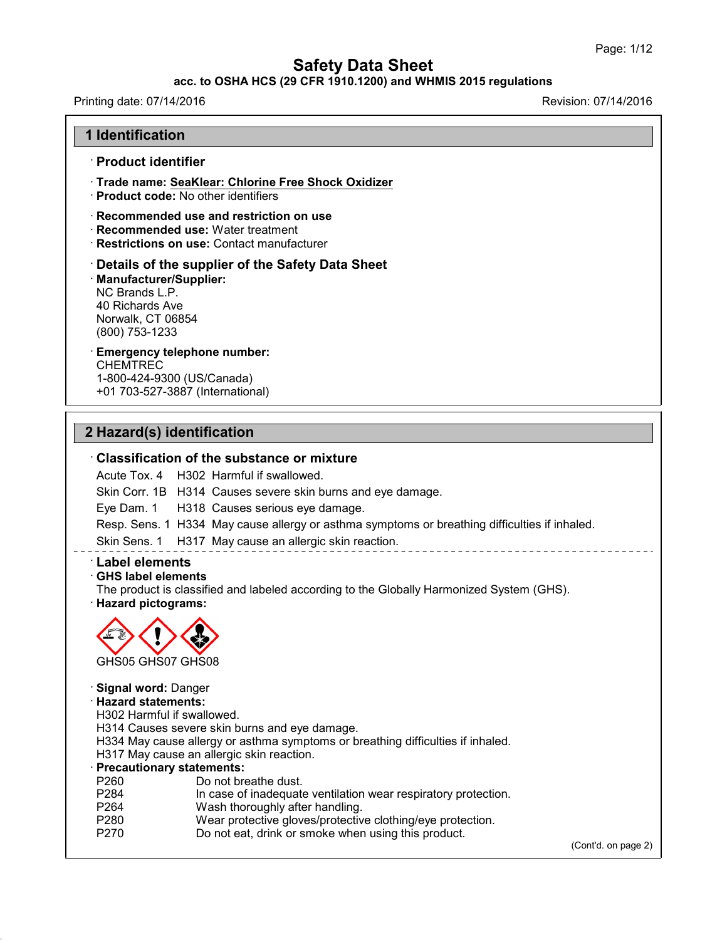#### **acc. to OSHA HCS (29 CFR 1910.1200) and WHMIS 2015 regulations**

43.0

# Printing date: 07/14/2016 Revision: 07/14/2016 **1 Identification** · **Product identifier** · **Trade name: SeaKlear: Chlorine Free Shock Oxidizer** · **Product code:** No other identifiers · **Recommended use and restriction on use** · **Recommended use:** Water treatment · **Restrictions on use:** Contact manufacturer · **Details of the supplier of the Safety Data Sheet** · **Manufacturer/Supplier:** NC Brands L.P. 40 Richards Ave Norwalk, CT 06854 (800) 753-1233 · **Emergency telephone number:** CHEMTREC 1-800-424-9300 (US/Canada) +01 703-527-3887 (International) **2 Hazard(s) identification** · **Classification of the substance or mixture** Acute Tox. 4 H302 Harmful if swallowed. Skin Corr. 1B H314 Causes severe skin burns and eye damage. Eye Dam. 1 H318 Causes serious eye damage. Resp. Sens. 1 H334 May cause allergy or asthma symptoms or breathing difficulties if inhaled. Skin Sens. 1 H317 May cause an allergic skin reaction. · **Label elements** · **GHS label elements** The product is classified and labeled according to the Globally Harmonized System (GHS). · **Hazard pictograms:** GHS05 GHS07 GHS08 · **Signal word:** Danger · **Hazard statements:** H302 Harmful if swallowed. H314 Causes severe skin burns and eye damage. H334 May cause allergy or asthma symptoms or breathing difficulties if inhaled. H317 May cause an allergic skin reaction. **Precautionary statements:**<br>P260 Do not bre P260 Do not breathe dust.<br>P284 In case of inadequate In case of inadequate ventilation wear respiratory protection. P264 Wash thoroughly after handling. P280 Wear protective gloves/protective clothing/eye protection. P270 Do not eat, drink or smoke when using this product. (Cont'd. on page 2)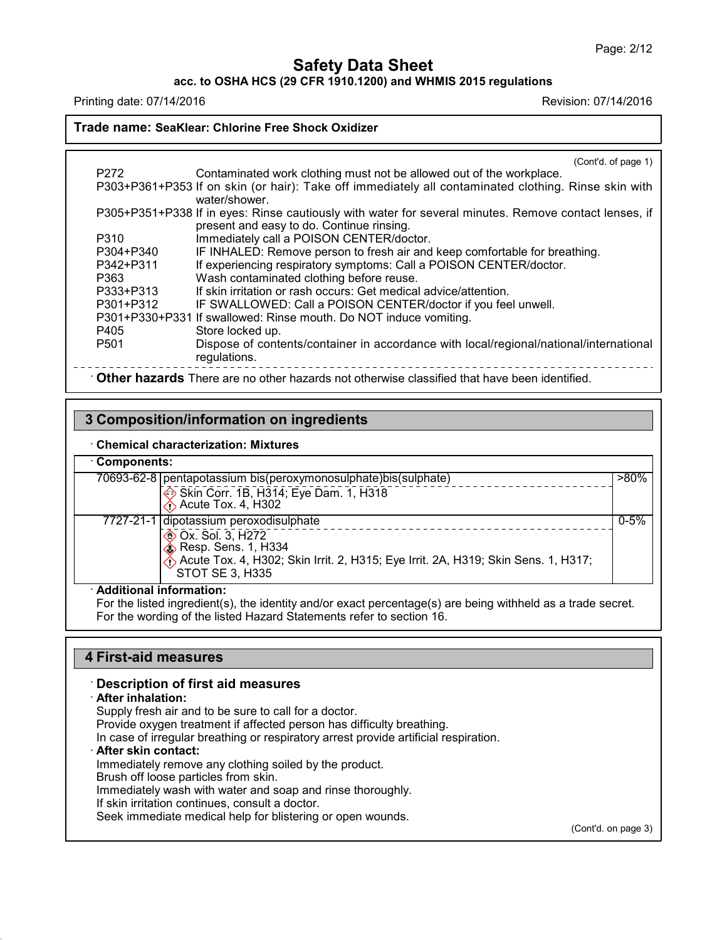**acc. to OSHA HCS (29 CFR 1910.1200) and WHMIS 2015 regulations**

Printing date: 07/14/2016 Revision: 07/14/2016

#### **Trade name: SeaKlear: Chlorine Free Shock Oxidizer**

|                  | (Cont'd. of page 1)                                                                                   |  |
|------------------|-------------------------------------------------------------------------------------------------------|--|
| P272             | Contaminated work clothing must not be allowed out of the workplace.                                  |  |
|                  | P303+P361+P353 If on skin (or hair): Take off immediately all contaminated clothing. Rinse skin with  |  |
|                  | water/shower.                                                                                         |  |
|                  | P305+P351+P338 If in eyes: Rinse cautiously with water for several minutes. Remove contact lenses, if |  |
|                  | present and easy to do. Continue rinsing.                                                             |  |
| P310             | Immediately call a POISON CENTER/doctor.                                                              |  |
| P304+P340        | IF INHALED: Remove person to fresh air and keep comfortable for breathing.                            |  |
| P342+P311        | If experiencing respiratory symptoms: Call a POISON CENTER/doctor.                                    |  |
| P363             | Wash contaminated clothing before reuse.                                                              |  |
| P333+P313        | If skin irritation or rash occurs: Get medical advice/attention.                                      |  |
| P301+P312        | IF SWALLOWED: Call a POISON CENTER/doctor if you feel unwell.                                         |  |
|                  | P301+P330+P331 If swallowed: Rinse mouth. Do NOT induce vomiting.                                     |  |
| P405             | Store locked up.                                                                                      |  |
| P <sub>501</sub> | Dispose of contents/container in accordance with local/regional/national/international                |  |
|                  | regulations.                                                                                          |  |
|                  | Other hazards There are no other hazards not otherwise classified that have been identified.          |  |
|                  |                                                                                                       |  |

## **3 Composition/information on ingredients**

#### · **Chemical characterization: Mixtures**

| Components: |  |
|-------------|--|
|-------------|--|

 $\sim$  .

|                                              | 70693-62-8   pentapotassium bis(peroxymonosulphate) bis(sulphate)<br>Skin Corr. 1B, H314; Eye Dam. 1, H318<br>$\Diamond$ Acute Tox. 4, H302                                                                  | $>80\%$  |  |
|----------------------------------------------|--------------------------------------------------------------------------------------------------------------------------------------------------------------------------------------------------------------|----------|--|
| $7727 - 21 - 1$ dipotassium peroxodisulphate | <b>EXALC</b> Ox. Sol. 3, H272<br>$\diamondsuit$ Resp. Sens. 1, H334<br>$\langle \hat{\uparrow} \rangle$ Acute Tox. 4, H302; Skin Irrit. 2, H315; Eye Irrit. 2A, H319; Skin Sens. 1, H317;<br>STOT SE 3, H335 | $0 - 5%$ |  |

## · **Additional information:**

For the listed ingredient(s), the identity and/or exact percentage(s) are being withheld as a trade secret. For the wording of the listed Hazard Statements refer to section 16.

#### **4 First-aid measures**

#### · **Description of first aid measures**

#### · **After inhalation:**

43.0

Supply fresh air and to be sure to call for a doctor. Provide oxygen treatment if affected person has difficulty breathing. In case of irregular breathing or respiratory arrest provide artificial respiration. · **After skin contact:** Immediately remove any clothing soiled by the product. Brush off loose particles from skin. Immediately wash with water and soap and rinse thoroughly. If skin irritation continues, consult a doctor. Seek immediate medical help for blistering or open wounds.

(Cont'd. on page 3)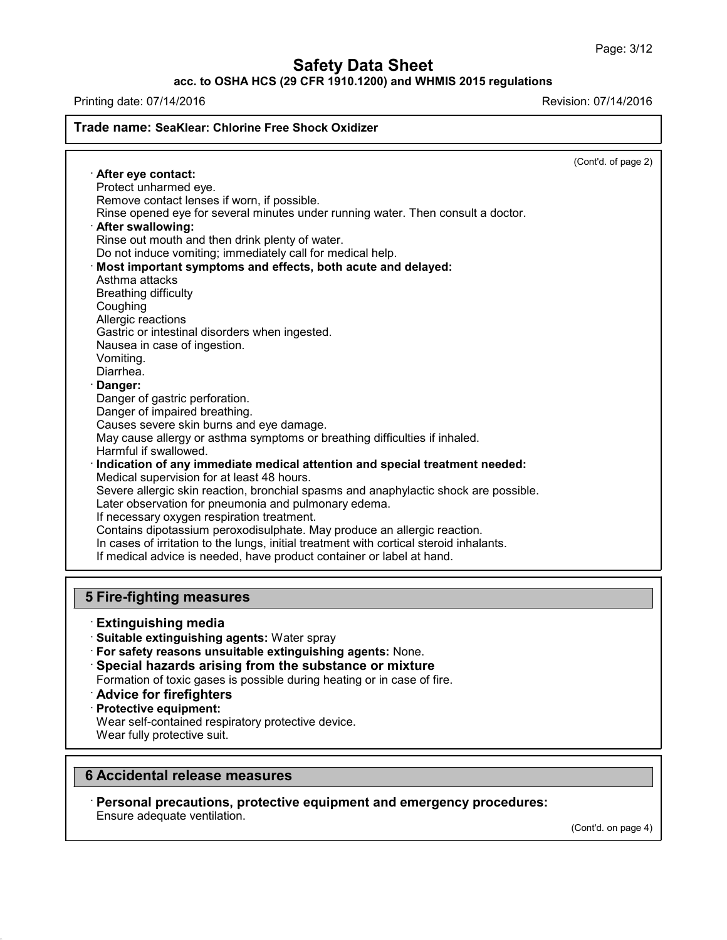**acc. to OSHA HCS (29 CFR 1910.1200) and WHMIS 2015 regulations**

Printing date: 07/14/2016 Revision: 07/14/2016

## **Trade name: SeaKlear: Chlorine Free Shock Oxidizer**

(Cont'd. of page 2)

· **After eye contact:** Protect unharmed eye. Remove contact lenses if worn, if possible. Rinse opened eye for several minutes under running water. Then consult a doctor. · **After swallowing:** Rinse out mouth and then drink plenty of water. Do not induce vomiting; immediately call for medical help. · **Most important symptoms and effects, both acute and delayed:** Asthma attacks Breathing difficulty Coughing Allergic reactions Gastric or intestinal disorders when ingested. Nausea in case of ingestion. Vomiting. Diarrhea. · **Danger:** Danger of gastric perforation. Danger of impaired breathing. Causes severe skin burns and eye damage. May cause allergy or asthma symptoms or breathing difficulties if inhaled. Harmful if swallowed. · **Indication of any immediate medical attention and special treatment needed:** Medical supervision for at least 48 hours. Severe allergic skin reaction, bronchial spasms and anaphylactic shock are possible. Later observation for pneumonia and pulmonary edema. If necessary oxygen respiration treatment. Contains dipotassium peroxodisulphate. May produce an allergic reaction. In cases of irritation to the lungs, initial treatment with cortical steroid inhalants. If medical advice is needed, have product container or label at hand. **5 Fire-fighting measures** · **Extinguishing media**

· **Suitable extinguishing agents:** Water spray

· **For safety reasons unsuitable extinguishing agents:** None.

· **Special hazards arising from the substance or mixture** Formation of toxic gases is possible during heating or in case of fire.

- · **Advice for firefighters**
- · **Protective equipment:**

43.0

Wear self-contained respiratory protective device.

Wear fully protective suit.

## **6 Accidental release measures**

· **Personal precautions, protective equipment and emergency procedures:** Ensure adequate ventilation.

(Cont'd. on page 4)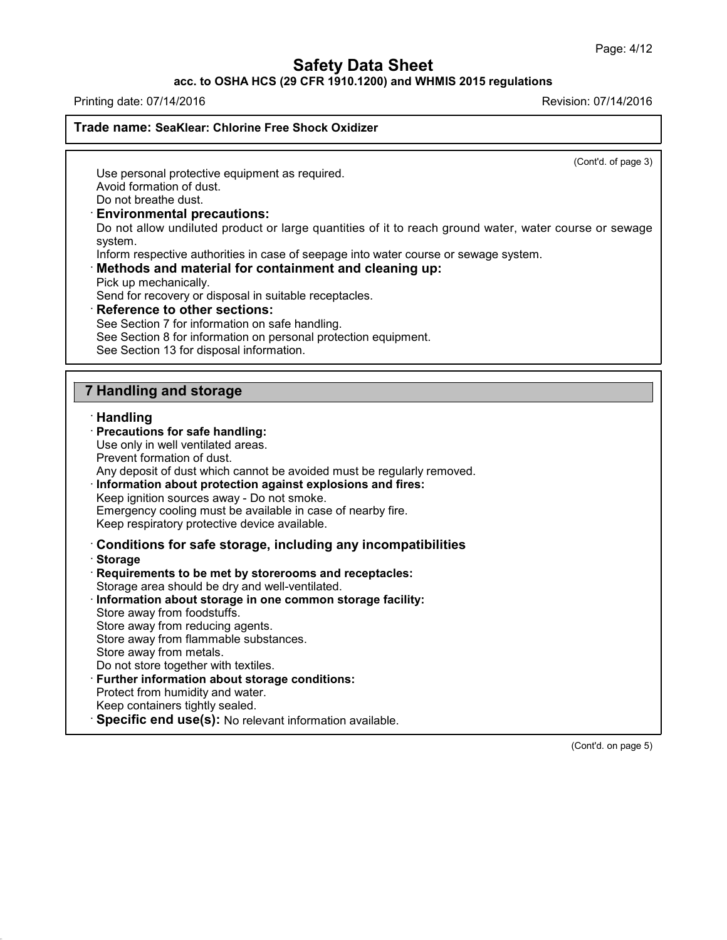**acc. to OSHA HCS (29 CFR 1910.1200) and WHMIS 2015 regulations**

Printing date: 07/14/2016 Revision: 07/14/2016

**Trade name: SeaKlear: Chlorine Free Shock Oxidizer**

(Cont'd. of page 3)

Use personal protective equipment as required. Avoid formation of dust.

Do not breathe dust.

#### · **Environmental precautions:**

Do not allow undiluted product or large quantities of it to reach ground water, water course or sewage system.

Inform respective authorities in case of seepage into water course or sewage system.

#### · **Methods and material for containment and cleaning up:**

Pick up mechanically.

Send for recovery or disposal in suitable receptacles.

· **Reference to other sections:**

See Section 7 for information on safe handling.

- See Section 8 for information on personal protection equipment.
- See Section 13 for disposal information.

## **7 Handling and storage**

#### · **Handling**

## · **Precautions for safe handling:**

Use only in well ventilated areas.

Prevent formation of dust.

Any deposit of dust which cannot be avoided must be regularly removed.

· **Information about protection against explosions and fires:**

Keep ignition sources away - Do not smoke.

Emergency cooling must be available in case of nearby fire. Keep respiratory protective device available.

#### · **Conditions for safe storage, including any incompatibilities**

· **Storage**

43.0

· **Requirements to be met by storerooms and receptacles:**

Storage area should be dry and well-ventilated.

- · **Information about storage in one common storage facility:** Store away from foodstuffs.
- Store away from reducing agents.
- Store away from flammable substances.
- Store away from metals.
- Do not store together with textiles.
- · **Further information about storage conditions:**
- Protect from humidity and water.
- Keep containers tightly sealed.
- · **Specific end use(s):** No relevant information available.

(Cont'd. on page 5)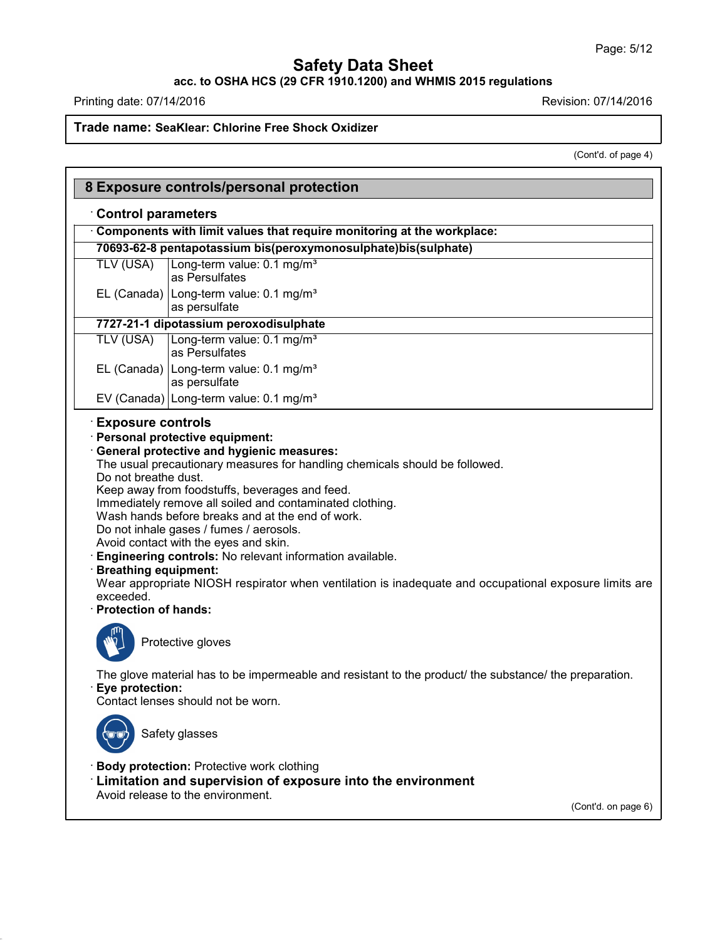**acc. to OSHA HCS (29 CFR 1910.1200) and WHMIS 2015 regulations**

Printing date: 07/14/2016 **Revision: 07/14/2016** 

Г

43.0

# **Trade name: SeaKlear: Chlorine Free Shock Oxidizer**

(Cont'd. of page 4)

|                                                                                                 | 8 Exposure controls/personal protection                                                                                                                                                                                                                                                                                                                                                                                                                                                                                                                    |
|-------------------------------------------------------------------------------------------------|------------------------------------------------------------------------------------------------------------------------------------------------------------------------------------------------------------------------------------------------------------------------------------------------------------------------------------------------------------------------------------------------------------------------------------------------------------------------------------------------------------------------------------------------------------|
| <b>Control parameters</b>                                                                       |                                                                                                                                                                                                                                                                                                                                                                                                                                                                                                                                                            |
|                                                                                                 | Components with limit values that require monitoring at the workplace:                                                                                                                                                                                                                                                                                                                                                                                                                                                                                     |
|                                                                                                 | 70693-62-8 pentapotassium bis(peroxymonosulphate)bis(sulphate)                                                                                                                                                                                                                                                                                                                                                                                                                                                                                             |
| <b>TLV (USA)</b>                                                                                | Long-term value: 0.1 mg/m <sup>3</sup><br>as Persulfates                                                                                                                                                                                                                                                                                                                                                                                                                                                                                                   |
|                                                                                                 | EL (Canada) Long-term value: $0.1 \text{ mg/m}^3$<br>as persulfate                                                                                                                                                                                                                                                                                                                                                                                                                                                                                         |
|                                                                                                 | 7727-21-1 dipotassium peroxodisulphate                                                                                                                                                                                                                                                                                                                                                                                                                                                                                                                     |
| <b>TLV (USA)</b>                                                                                | Long-term value: 0.1 mg/m <sup>3</sup><br>as Persulfates                                                                                                                                                                                                                                                                                                                                                                                                                                                                                                   |
|                                                                                                 | EL (Canada)   Long-term value: 0.1 mg/m <sup>3</sup><br>as persulfate                                                                                                                                                                                                                                                                                                                                                                                                                                                                                      |
|                                                                                                 | EV (Canada) Long-term value: 0.1 mg/m <sup>3</sup>                                                                                                                                                                                                                                                                                                                                                                                                                                                                                                         |
| Do not breathe dust.<br><b>Breathing equipment:</b><br>exceeded.<br><b>Protection of hands:</b> | <b>General protective and hygienic measures:</b><br>The usual precautionary measures for handling chemicals should be followed.<br>Keep away from foodstuffs, beverages and feed.<br>Immediately remove all soiled and contaminated clothing.<br>Wash hands before breaks and at the end of work.<br>Do not inhale gases / fumes / aerosols.<br>Avoid contact with the eyes and skin.<br>Engineering controls: No relevant information available.<br>Wear appropriate NIOSH respirator when ventilation is inadequate and occupational exposure limits are |
|                                                                                                 | Protective gloves                                                                                                                                                                                                                                                                                                                                                                                                                                                                                                                                          |
| Eye protection:                                                                                 | The glove material has to be impermeable and resistant to the product/ the substance/ the preparation.<br>Contact lenses should not be worn.                                                                                                                                                                                                                                                                                                                                                                                                               |
|                                                                                                 | Safety glasses                                                                                                                                                                                                                                                                                                                                                                                                                                                                                                                                             |
|                                                                                                 | <b>Body protection: Protective work clothing</b><br><b>Limitation and supervision of exposure into the environment</b><br>Avoid release to the environment.                                                                                                                                                                                                                                                                                                                                                                                                |
|                                                                                                 | (Cont'd. on page 6)                                                                                                                                                                                                                                                                                                                                                                                                                                                                                                                                        |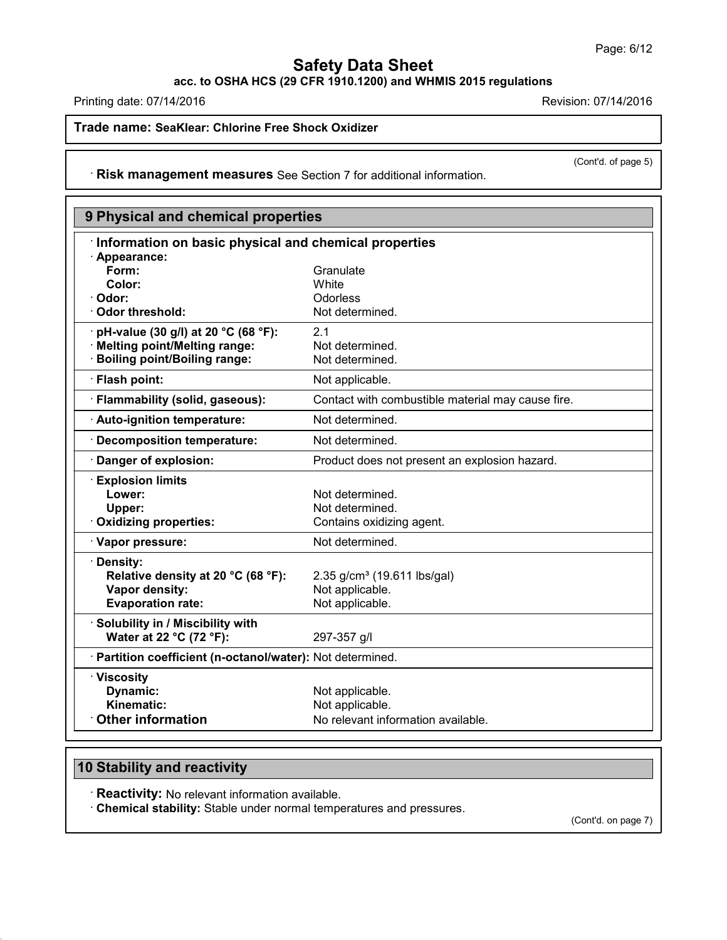**acc. to OSHA HCS (29 CFR 1910.1200) and WHMIS 2015 regulations**

Printing date: 07/14/2016 **Revision: 07/14/2016** 

**Trade name: SeaKlear: Chlorine Free Shock Oxidizer**

(Cont'd. of page 5)

· **Risk management measures** See Section 7 for additional information.

| 9 Physical and chemical properties                         |                                                   |  |  |  |  |
|------------------------------------------------------------|---------------------------------------------------|--|--|--|--|
| Information on basic physical and chemical properties      |                                                   |  |  |  |  |
| · Appearance:                                              |                                                   |  |  |  |  |
| Form:                                                      | Granulate                                         |  |  |  |  |
| Color:                                                     | White                                             |  |  |  |  |
| · Odor:                                                    | Odorless                                          |  |  |  |  |
| Odor threshold:                                            | Not determined.                                   |  |  |  |  |
| pH-value (30 g/l) at 20 °C (68 °F):                        | 2.1                                               |  |  |  |  |
| · Melting point/Melting range:                             | Not determined.                                   |  |  |  |  |
| <b>Boiling point/Boiling range:</b>                        | Not determined.                                   |  |  |  |  |
| · Flash point:                                             | Not applicable.                                   |  |  |  |  |
| · Flammability (solid, gaseous):                           | Contact with combustible material may cause fire. |  |  |  |  |
| · Auto-ignition temperature:                               | Not determined.                                   |  |  |  |  |
| Decomposition temperature:                                 | Not determined.                                   |  |  |  |  |
| Danger of explosion:                                       | Product does not present an explosion hazard.     |  |  |  |  |
| <b>Explosion limits</b>                                    |                                                   |  |  |  |  |
| Lower:                                                     | Not determined.                                   |  |  |  |  |
| Upper:                                                     | Not determined.                                   |  |  |  |  |
| Oxidizing properties:                                      | Contains oxidizing agent.                         |  |  |  |  |
| · Vapor pressure:                                          | Not determined.                                   |  |  |  |  |
| Density:                                                   |                                                   |  |  |  |  |
| Relative density at 20 °C (68 °F):                         | 2.35 $g/cm^3$ (19.611 lbs/gal)                    |  |  |  |  |
| Vapor density:                                             | Not applicable.                                   |  |  |  |  |
| <b>Evaporation rate:</b>                                   | Not applicable.                                   |  |  |  |  |
| · Solubility in / Miscibility with                         |                                                   |  |  |  |  |
| Water at 22 °C (72 °F):                                    | 297-357 g/l                                       |  |  |  |  |
| · Partition coefficient (n-octanol/water): Not determined. |                                                   |  |  |  |  |
| · Viscosity                                                |                                                   |  |  |  |  |
| Dynamic:                                                   | Not applicable.                                   |  |  |  |  |
| Kinematic:                                                 | Not applicable.                                   |  |  |  |  |
| <b>Other information</b>                                   | No relevant information available.                |  |  |  |  |

# **10 Stability and reactivity**

43.0

· **Reactivity:** No relevant information available.

· **Chemical stability:** Stable under normal temperatures and pressures.

(Cont'd. on page 7)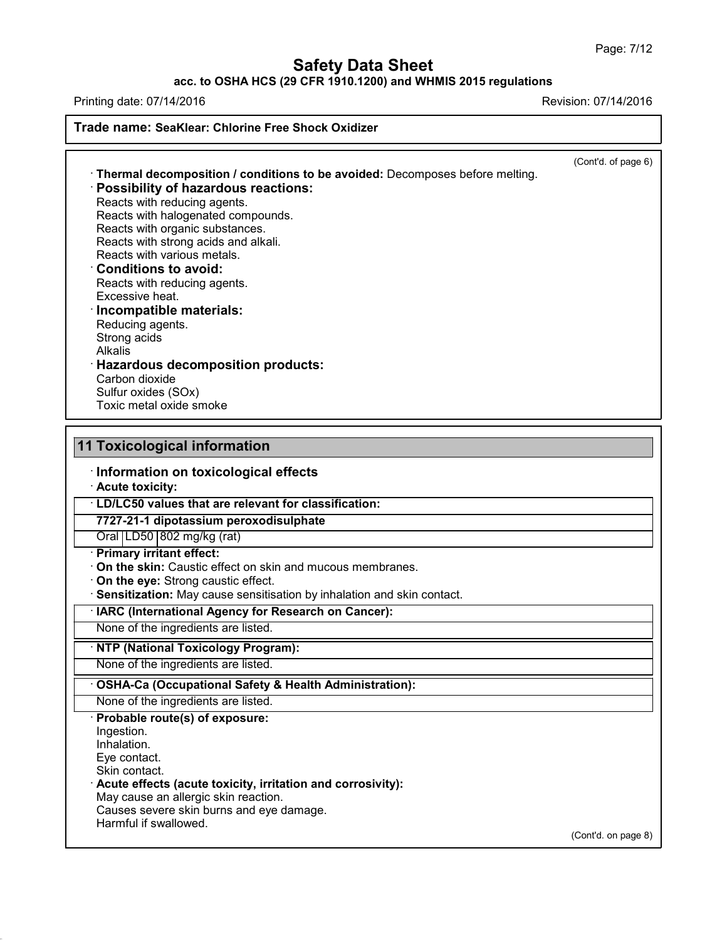#### **acc. to OSHA HCS (29 CFR 1910.1200) and WHMIS 2015 regulations**

Printing date: 07/14/2016 Revision: 07/14/2016

(Cont'd. of page 6)

**Trade name: SeaKlear: Chlorine Free Shock Oxidizer** · **Thermal decomposition / conditions to be avoided:** Decomposes before melting.

· **Possibility of hazardous reactions:**

Reacts with reducing agents. Reacts with halogenated compounds. Reacts with organic substances. Reacts with strong acids and alkali. Reacts with various metals.

## · **Conditions to avoid:**

Reacts with reducing agents. Excessive heat.

## · **Incompatible materials:**

Reducing agents. Strong acids Alkalis · **Hazardous decomposition products:** Carbon dioxide

Sulfur oxides (SOx) Toxic metal oxide smoke

## **11 Toxicological information**

· **Information on toxicological effects**

· **Acute toxicity:**

· **LD/LC50 values that are relevant for classification:**

**7727-21-1 dipotassium peroxodisulphate**

Oral LD50 802 mg/kg (rat)

- · **Primary irritant effect:**
- · **On the skin:** Caustic effect on skin and mucous membranes.

· **On the eye:** Strong caustic effect.

· **Sensitization:** May cause sensitisation by inhalation and skin contact.

· **IARC (International Agency for Research on Cancer):**

None of the ingredients are listed.

#### · **NTP (National Toxicology Program):**

None of the ingredients are listed.

#### · **OSHA-Ca (Occupational Safety & Health Administration):**

None of the ingredients are listed. · **Probable route(s) of exposure:** Ingestion.

Inhalation.

Eye contact.

Skin contact.

43.0

· **Acute effects (acute toxicity, irritation and corrosivity):**

May cause an allergic skin reaction.

Causes severe skin burns and eye damage.

Harmful if swallowed.

(Cont'd. on page 8)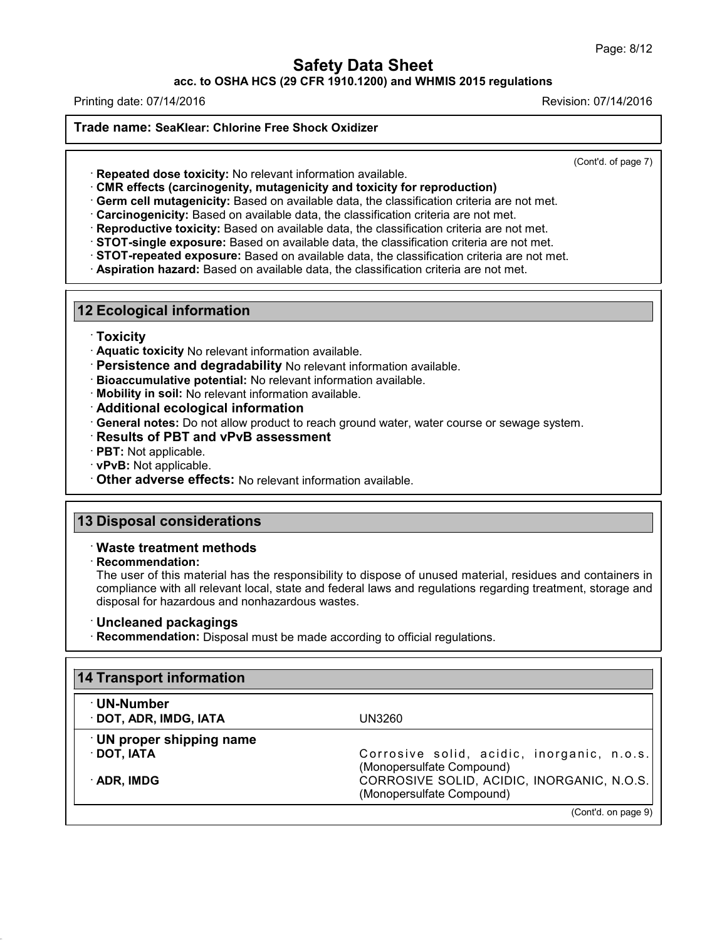**acc. to OSHA HCS (29 CFR 1910.1200) and WHMIS 2015 regulations**

Printing date: 07/14/2016 Revision: 07/14/2016

**Trade name: SeaKlear: Chlorine Free Shock Oxidizer**

(Cont'd. of page 7)

· **Repeated dose toxicity:** No relevant information available.

· **CMR effects (carcinogenity, mutagenicity and toxicity for reproduction)**

· **Germ cell mutagenicity:** Based on available data, the classification criteria are not met.

· **Carcinogenicity:** Based on available data, the classification criteria are not met.

· **Reproductive toxicity:** Based on available data, the classification criteria are not met.

· **STOT-single exposure:** Based on available data, the classification criteria are not met.

- · **STOT-repeated exposure:** Based on available data, the classification criteria are not met.
- · **Aspiration hazard:** Based on available data, the classification criteria are not met.

#### **12 Ecological information**

#### · **Toxicity**

- · **Aquatic toxicity** No relevant information available.
- · **Persistence and degradability** No relevant information available.
- · **Bioaccumulative potential:** No relevant information available.
- · **Mobility in soil:** No relevant information available.
- · **Additional ecological information**
- · **General notes:** Do not allow product to reach ground water, water course or sewage system.
- · **Results of PBT and vPvB assessment**
- · **PBT:** Not applicable.
- · **vPvB:** Not applicable.
- · **Other adverse effects:** No relevant information available.

#### **13 Disposal considerations**

#### · **Waste treatment methods**

#### · **Recommendation:**

43.0

The user of this material has the responsibility to dispose of unused material, residues and containers in compliance with all relevant local, state and federal laws and regulations regarding treatment, storage and disposal for hazardous and nonhazardous wastes.

#### · **Uncleaned packagings**

· **Recommendation:** Disposal must be made according to official regulations.

| <b>14 Transport information</b>                                         |  |
|-------------------------------------------------------------------------|--|
| UN3260                                                                  |  |
|                                                                         |  |
| Corrosive solid, acidic, inorganic, n.o.s.<br>(Monopersulfate Compound) |  |
| CORROSIVE SOLID, ACIDIC, INORGANIC, N.O.S.<br>(Monopersulfate Compound) |  |
|                                                                         |  |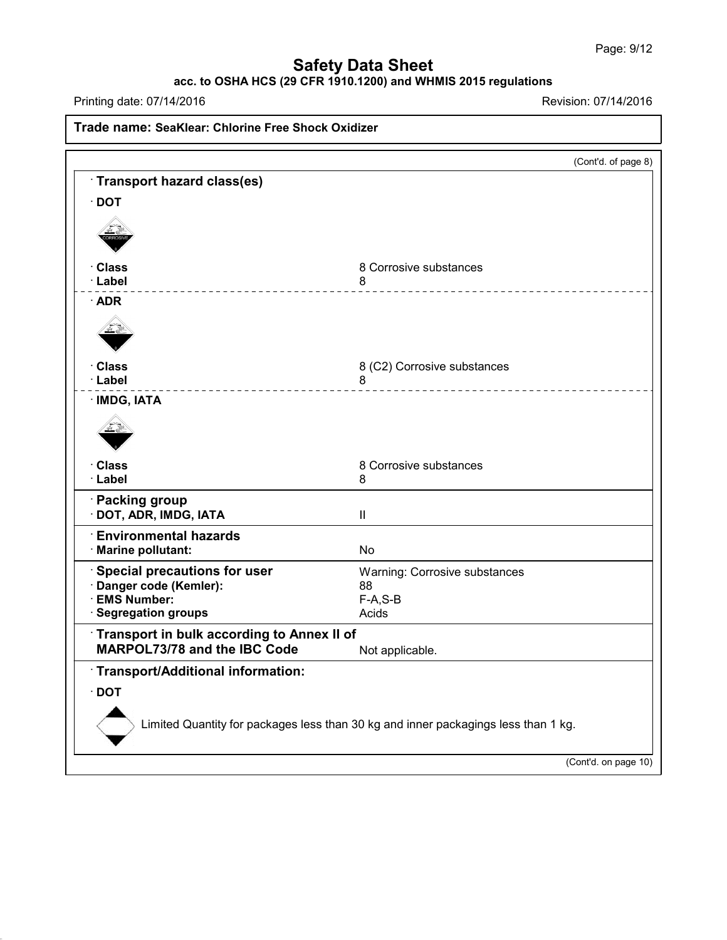## **acc. to OSHA HCS (29 CFR 1910.1200) and WHMIS 2015 regulations**

Printing date: 07/14/2016 Revision: 07/14/2016

43.0

**Trade name: SeaKlear: Chlorine Free Shock Oxidizer** (Cont'd. of page 8) · **Transport hazard class(es)** · **DOT** · **Class** 8 Corrosive substances<br> **Example:** 8 Additional 8 · **Label** 8 · **ADR** · **Class** 8 (C2) Corrosive substances<br> **Class** 8 · **Label** 8 · **IMDG, IATA** · **Class** 8 Corrosive substances<br>· Label 8 8 · **Label** 8 · **Packing group** · **DOT, ADR, IMDG, IATA** II · **Environmental hazards** · **Marine pollutant:** No · **Special precautions for user** Warning: Corrosive substances · **Danger code (Kemler):** 88  $\cdot$  **EMS** Number: **· Segregation groups Acids** Acids · **Transport in bulk according to Annex II of MARPOL73/78** and the IBC Code Not applicable. · **Transport/Additional information:** · **DOT** Limited Quantity for packages less than 30 kg and inner packagings less than 1 kg. (Cont'd. on page 10)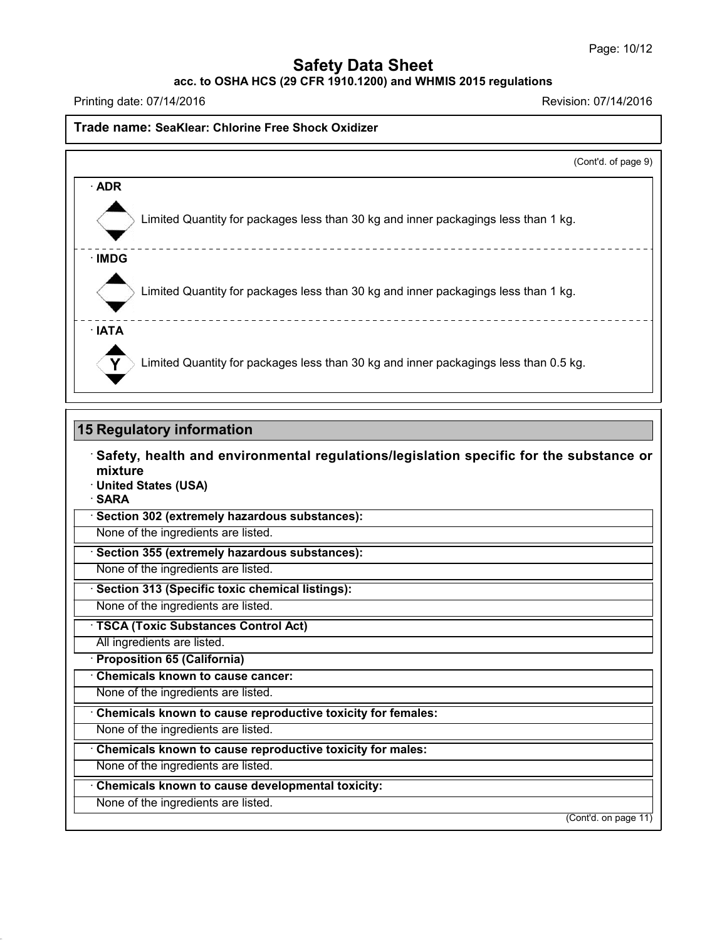**acc. to OSHA HCS (29 CFR 1910.1200) and WHMIS 2015 regulations**

Printing date: 07/14/2016 Revision: 07/14/2016

#### **Trade name: SeaKlear: Chlorine Free Shock Oxidizer**

|                                                                                      | (Cont'd. of page 9) |
|--------------------------------------------------------------------------------------|---------------------|
| $\cdot$ ADR                                                                          |                     |
| Limited Quantity for packages less than 30 kg and inner packagings less than 1 kg.   |                     |
| $\cdot$ IMDG                                                                         |                     |
| Limited Quantity for packages less than 30 kg and inner packagings less than 1 kg.   |                     |
| $\cdot$ IATA                                                                         |                     |
| Limited Quantity for packages less than 30 kg and inner packagings less than 0.5 kg. |                     |

#### **15 Regulatory information**

· **Safety, health and environmental regulations/legislation specific for the substance or mixture** · **United States (USA)** · **SARA** · **Section 302 (extremely hazardous substances):** None of the ingredients are listed.

· **Section 355 (extremely hazardous substances):**

None of the ingredients are listed.

· **Section 313 (Specific toxic chemical listings):**

None of the ingredients are listed.

· **TSCA (Toxic Substances Control Act)**

All ingredients are listed.

· **Proposition 65 (California)**

· **Chemicals known to cause cancer:**

None of the ingredients are listed.

· **Chemicals known to cause reproductive toxicity for females:**

None of the ingredients are listed.

· **Chemicals known to cause reproductive toxicity for males:**

None of the ingredients are listed.

· **Chemicals known to cause developmental toxicity:**

None of the ingredients are listed.

43.0

(Cont'd. on page 11)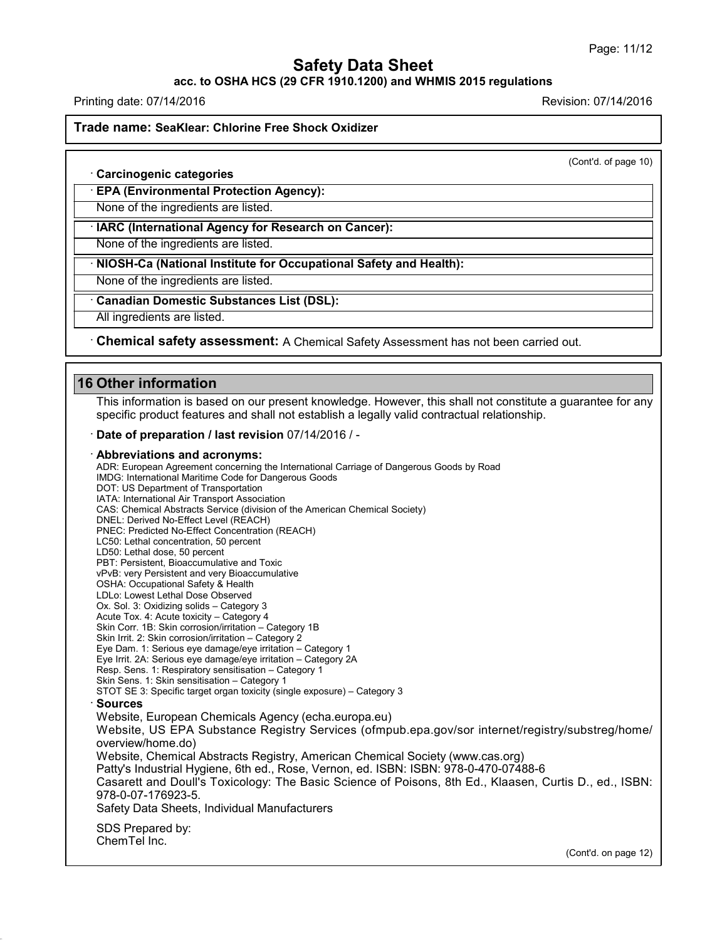**acc. to OSHA HCS (29 CFR 1910.1200) and WHMIS 2015 regulations**

Printing date: 07/14/2016 Revision: 07/14/2016

**Trade name: SeaKlear: Chlorine Free Shock Oxidizer**

(Cont'd. of page 10)

· **Carcinogenic categories**

· **EPA (Environmental Protection Agency):**

None of the ingredients are listed.

· **IARC (International Agency for Research on Cancer):**

None of the ingredients are listed.

· **NIOSH-Ca (National Institute for Occupational Safety and Health):**

None of the ingredients are listed.

· **Canadian Domestic Substances List (DSL):**

All ingredients are listed.

· **Chemical safety assessment:** A Chemical Safety Assessment has notbeen carried out.

## **16 Other information**

43.0

This information is based on our present knowledge. However, this shall not constitute a guarantee for any specific product features and shall not establish a legally valid contractual relationship.

· **Date of preparation / last revision** 07/14/2016 / -

#### · **Abbreviations and acronyms:**

ADR: European Agreement concerning the International Carriage of Dangerous Goods by Road IMDG: International Maritime Code for Dangerous Goods DOT: US Department of Transportation IATA: International Air Transport Association CAS: Chemical Abstracts Service (division of the American Chemical Society) DNEL: Derived No-Effect Level (REACH) PNEC: Predicted No-Effect Concentration (REACH) LC50: Lethal concentration, 50 percent LD50: Lethal dose, 50 percent PBT: Persistent, Bioaccumulative and Toxic vPvB: very Persistent and very Bioaccumulative OSHA: Occupational Safety & Health LDLo: Lowest Lethal Dose Observed Ox. Sol. 3: Oxidizing solids – Category 3 Acute Tox. 4: Acute toxicity – Category 4 Skin Corr. 1B: Skin corrosion/irritation – Category 1B Skin Irrit. 2: Skin corrosion/irritation – Category 2 Eye Dam. 1: Serious eye damage/eye irritation – Category 1 Eye Irrit.2A: Serious eye damage/eye irritation – Category 2A Resp. Sens. 1: Respiratory sensitisation – Category 1 Skin Sens. 1: Skin sensitisation – Category 1 STOT SE 3: Specific target organ toxicity (single exposure) – Category 3 · **Sources** Website, European Chemicals Agency (echa.europa.eu) Website, US EPA Substance Registry Services (ofmpub.epa.gov/sor internet/registry/substreg/home/ overview/home.do) Website, Chemical Abstracts Registry, American Chemical Society (www.cas.org) Patty's Industrial Hygiene, 6th ed., Rose, Vernon, ed. ISBN: ISBN: 978-0-470-07488-6 Casarett and Doull's Toxicology: The Basic Science of Poisons, 8th Ed., Klaasen, Curtis D.,ed., ISBN: 978-0-07-176923-5. Safety Data Sheets, Individual Manufacturers SDS Prepared by: ChemTel Inc.

(Cont'd. on page 12)